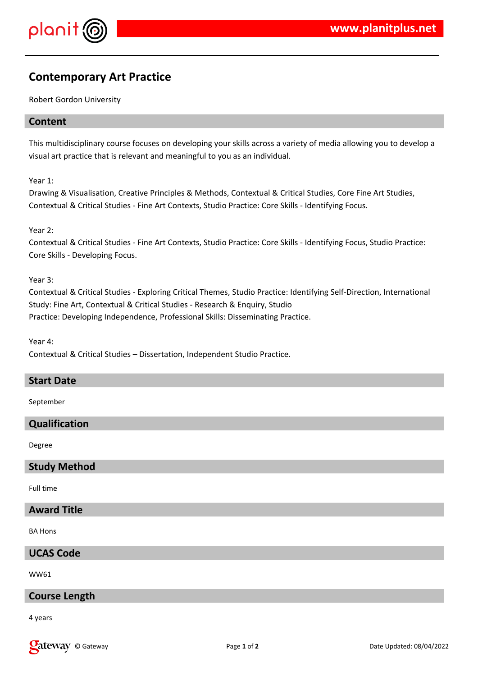



# **Contemporary Art Practice**

Robert Gordon University

## **Content**

This multidisciplinary course focuses on developing your skills across a variety of media allowing you to develop a visual art practice that is relevant and meaningful to you as an individual.

Year 1:

Drawing & Visualisation, Creative Principles & Methods, Contextual & Critical Studies, Core Fine Art Studies, Contextual & Critical Studies - Fine Art Contexts, Studio Practice: Core Skills - Identifying Focus.

Year 2:

Contextual & Critical Studies - Fine Art Contexts, Studio Practice: Core Skills - Identifying Focus, Studio Practice: Core Skills - Developing Focus.

Year 3:

Contextual & Critical Studies - Exploring Critical Themes, Studio Practice: Identifying Self-Direction, International Study: Fine Art, Contextual & Critical Studies - Research & Enquiry, Studio Practice: Developing Independence, Professional Skills: Disseminating Practice.

Year 4: Contextual & Critical Studies – Dissertation, Independent Studio Practice.

#### **Start Date**

September

# **Qualification**

Degree

#### **Study Method**

Full time

#### **Award Title**

BA Hons

# **UCAS Code**

WW61

#### **Course Length**

4 years